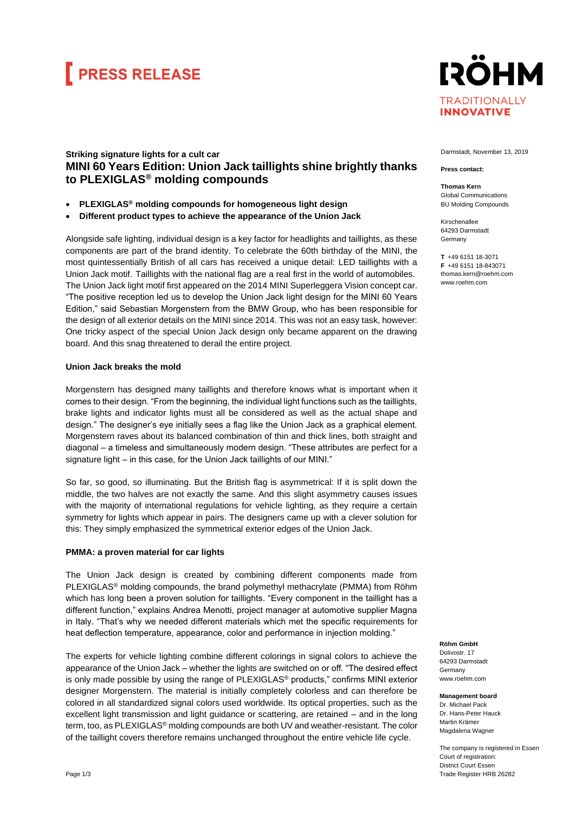## **FRESS RELEASE**



## **Striking signature lights for a cult car MINI 60 Years Edition: Union Jack taillights shine brightly thanks to PLEXIGLAS® molding compounds**

- **PLEXIGLAS® molding compounds for homogeneous light design**
- **Different product types to achieve the appearance of the Union Jack**

Alongside safe lighting, individual design is a key factor for headlights and taillights, as these components are part of the brand identity. To celebrate the 60th birthday of the MINI, the most quintessentially British of all cars has received a unique detail: LED taillights with a Union Jack motif. Taillights with the national flag are a real first in the world of automobiles. The Union Jack light motif first appeared on the 2014 MINI Superleggera Vision concept car. "The positive reception led us to develop the Union Jack light design for the MINI 60 Years Edition," said Sebastian Morgenstern from the BMW Group, who has been responsible for the design of all exterior details on the MINI since 2014. This was not an easy task, however: One tricky aspect of the special Union Jack design only became apparent on the drawing board. And this snag threatened to derail the entire project.

## **Union Jack breaks the mold**

Morgenstern has designed many taillights and therefore knows what is important when it comes to their design. "From the beginning, the individual light functions such as the taillights, brake lights and indicator lights must all be considered as well as the actual shape and design." The designer's eye initially sees a flag like the Union Jack as a graphical element. Morgenstern raves about its balanced combination of thin and thick lines, both straight and diagonal – a timeless and simultaneously modern design. "These attributes are perfect for a signature light – in this case, for the Union Jack taillights of our MINI."

So far, so good, so illuminating. But the British flag is asymmetrical: If it is split down the middle, the two halves are not exactly the same. And this slight asymmetry causes issues with the majority of international regulations for vehicle lighting, as they require a certain symmetry for lights which appear in pairs. The designers came up with a clever solution for this: They simply emphasized the symmetrical exterior edges of the Union Jack.

### **PMMA: a proven material for car lights**

The Union Jack design is created by combining different components made from PLEXIGLAS® molding compounds, the brand polymethyl methacrylate (PMMA) from Röhm which has long been a proven solution for taillights. "Every component in the taillight has a different function," explains Andrea Menotti, project manager at automotive supplier Magna in Italy. "That's why we needed different materials which met the specific requirements for heat deflection temperature, appearance, color and performance in injection molding."

The experts for vehicle lighting combine different colorings in signal colors to achieve the appearance of the Union Jack – whether the lights are switched on or off. "The desired effect is only made possible by using the range of PLEXIGLAS® products," confirms MINI exterior designer Morgenstern. The material is initially completely colorless and can therefore be colored in all standardized signal colors used worldwide. Its optical properties, such as the excellent light transmission and light guidance or scattering, are retained – and in the long term, too, as PLEXIGLAS® molding compounds are both UV and weather-resistant. The color of the taillight covers therefore remains unchanged throughout the entire vehicle life cycle.

Darmstadt, November 13, 2019

#### **Press contact:**

**Thomas Kern** Global Communications BU Molding Compounds

Kirschenallee 64293 Darmstadt Germany

**T** +49 6151 18-3071 **F** +49 6151 18-843071 thomas.kern@roehm.com www.roehm.com

**Röhm GmbH** Dolivostr. 17 64293 Darmstadt Germany www.roehm.com

**Management board** Dr. Michael Pack Dr. Hans-Peter Hauck Martin Krämer Magdalena Wagner

The company is registered in Essen Court of registration: District Court Essen Trade Register HRB 26282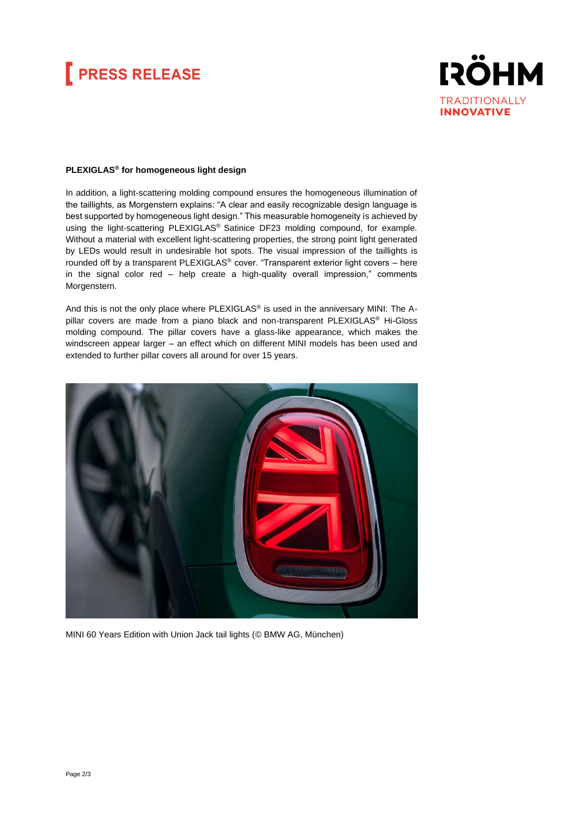# **FRESS RELEASE**



### **PLEXIGLAS® for homogeneous light design**

In addition, a light-scattering molding compound ensures the homogeneous illumination of the taillights, as Morgenstern explains: "A clear and easily recognizable design language is best supported by homogeneous light design." This measurable homogeneity is achieved by using the light-scattering PLEXIGLAS® Satinice DF23 molding compound, for example. Without a material with excellent light-scattering properties, the strong point light generated by LEDs would result in undesirable hot spots. The visual impression of the taillights is rounded off by a transparent PLEXIGLAS® cover. "Transparent exterior light covers – here in the signal color red – help create a high-quality overall impression," comments Morgenstern.

And this is not the only place where PLEXIGLAS® is used in the anniversary MINI: The Apillar covers are made from a piano black and non-transparent PLEXIGLAS® Hi-Gloss molding compound. The pillar covers have a glass-like appearance, which makes the windscreen appear larger – an effect which on different MINI models has been used and extended to further pillar covers all around for over 15 years.



MINI 60 Years Edition with Union Jack tail lights (© BMW AG, München)